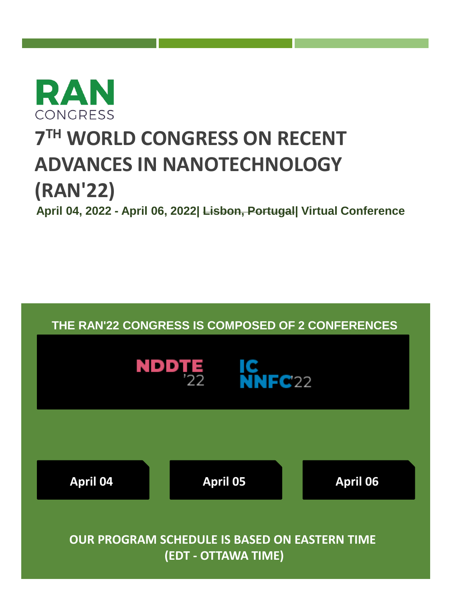<span id="page-0-0"></span>

# **7 TH WORLD CONGRESS ON RECENT ADVANCES IN NANOTECHNOLOGY (RAN'22)**

# **April 04, 2022 - April 06, 2022| Lisbon, Portugal| Virtual Conference**

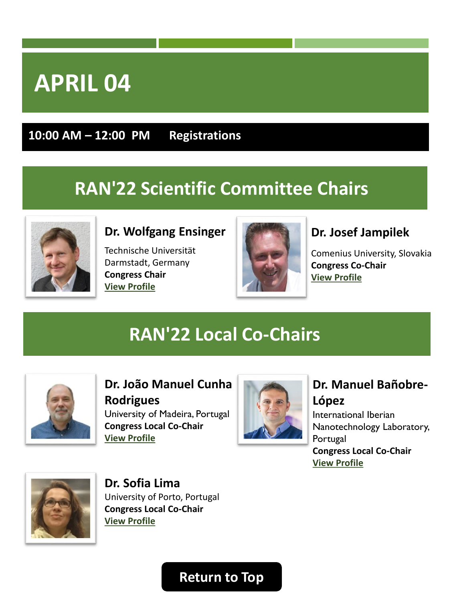<span id="page-1-0"></span>**10:00 AM – 12:00 PM Registrations**

# **RAN'22 Scientific Committee Chairs**



#### **Dr. Wolfgang Ensinger**

Technische Universität Darmstadt, Germany **Congress Chair [View Profile](https://lisbon2021.rancongress.com/chairs#Chair)** 



#### **Dr. Josef Jampilek**

Comenius University, Slovakia **Congress Co-Chair [View Profile](https://www.rcptm.com/about/personnel/josef-jampilek/#about)** 

# **RAN'22 Local Co-Chairs**



**Dr. João Manuel Cunha Rodrigues** University of Madeira, Portugal **Congress Local Co-Chair [View Profile](https://www.uma.pt/directorio/joao-manuel-cunha-rodrigues/)** 



#### **Dr. Manuel Bañobre-López**

International Iberian Nanotechnology Laboratory, Portugal **Congress Local Co-Chair [View Profile](https://inl.int/inl-people/manuel-banobre-lopez/)** 



**Dr. Sofia Lima** University of Porto, Portugal **Congress Local Co-Chair [View Profile](https://laqv.requimte.pt/people/607-sofia_antunes_costa_lima)**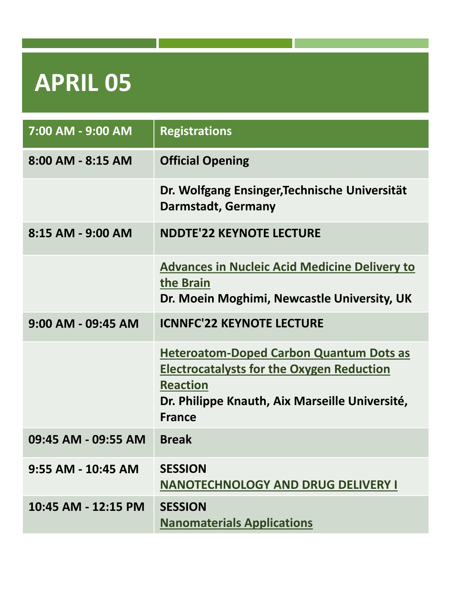<span id="page-2-0"></span>

| 7:00 AM - 9:00 AM     | <b>Registrations</b>                                                                                                                                                                     |
|-----------------------|------------------------------------------------------------------------------------------------------------------------------------------------------------------------------------------|
| $8:00$ AM - $8:15$ AM | <b>Official Opening</b>                                                                                                                                                                  |
|                       | Dr. Wolfgang Ensinger, Technische Universität<br><b>Darmstadt, Germany</b>                                                                                                               |
| 8:15 AM - 9:00 AM     | <b>NDDTE'22 KEYNOTE LECTURE</b>                                                                                                                                                          |
|                       | <b>Advances in Nucleic Acid Medicine Delivery to</b><br>the Brain<br>Dr. Moein Moghimi, Newcastle University, UK                                                                         |
| $9:00$ AM - 09:45 AM  | <b>ICNNFC'22 KEYNOTE LECTURE</b>                                                                                                                                                         |
|                       | <b>Heteroatom-Doped Carbon Quantum Dots as</b><br><b>Electrocatalysts for the Oxygen Reduction</b><br><b>Reaction</b><br>Dr. Philippe Knauth, Aix Marseille Université,<br><b>France</b> |
| 09:45 AM - 09:55 AM   | <b>Break</b>                                                                                                                                                                             |
| 9:55 AM - 10:45 AM    | <b>SESSION</b><br><b>NANOTECHNOLOGY AND DRUG DELIVERY I</b>                                                                                                                              |
| 10:45 AM - 12:15 PM   | <b>SESSION</b><br><b>Nanomaterials Applications</b>                                                                                                                                      |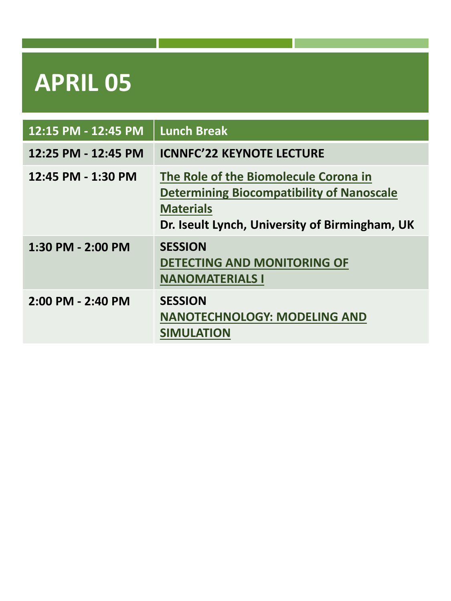| 12:15 PM - 12:45 PM | <b>Lunch Break</b>                                                                                                                                              |
|---------------------|-----------------------------------------------------------------------------------------------------------------------------------------------------------------|
| 12:25 PM - 12:45 PM | <b>ICNNFC'22 KEYNOTE LECTURE</b>                                                                                                                                |
| 12:45 PM - 1:30 PM  | The Role of the Biomolecule Corona in<br><b>Determining Biocompatibility of Nanoscale</b><br><b>Materials</b><br>Dr. Iseult Lynch, University of Birmingham, UK |
| 1:30 PM - 2:00 PM   | <b>SESSION</b><br><b>DETECTING AND MONITORING OF</b><br><b>NANOMATERIALS I</b>                                                                                  |
| 2:00 PM - 2:40 PM   | <b>SESSION</b><br><b>NANOTECHNOLOGY: MODELING AND</b><br><b>SIMULATION</b>                                                                                      |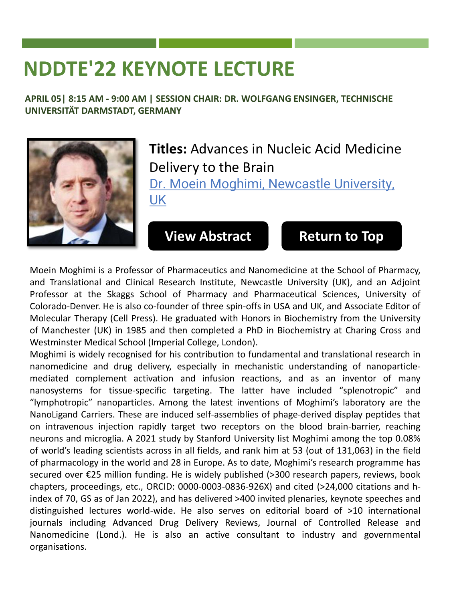# <span id="page-4-0"></span>**NDDTE'22 KEYNOTE LECTURE**

**APRIL 05| 8:15 AM - 9:00 AM | SESSION CHAIR: DR. WOLFGANG ENSINGER, TECHNISCHE UNIVERSITÄT DARMSTADT, GERMANY**



### **Titles:** Advances in Nucleic Acid Medicine Delivery to the Brain

Dr. Moein Moghimi, Newcastle University, UK

**[View Abstract](https://lisbon2022.rancongress.com/paper/Keynote-Dr.Moghimi.pdf) [Return to Top](#page-0-0)**

Moein Moghimi is a Professor of Pharmaceutics and Nanomedicine at the School of Pharmacy, and Translational and Clinical Research Institute, Newcastle University (UK), and an Adjoint Professor at the Skaggs School of Pharmacy and Pharmaceutical Sciences, University of Colorado-Denver. He is also co-founder of three spin-offs in USA and UK, and Associate Editor of Molecular Therapy (Cell Press). He graduated with Honors in Biochemistry from the University of Manchester (UK) in 1985 and then completed a PhD in Biochemistry at Charing Cross and Westminster Medical School (Imperial College, London).

Moghimi is widely recognised for his contribution to fundamental and translational research in nanomedicine and drug delivery, especially in mechanistic understanding of nanoparticlemediated complement activation and infusion reactions, and as an inventor of many nanosystems for tissue-specific targeting. The latter have included "splenotropic" and "lymphotropic" nanoparticles. Among the latest inventions of Moghimi's laboratory are the NanoLigand Carriers. These are induced self-assemblies of phage-derived display peptides that on intravenous injection rapidly target two receptors on the blood brain-barrier, reaching neurons and microglia. A 2021 study by Stanford University list Moghimi among the top 0.08% of world's leading scientists across in all fields, and rank him at 53 (out of 131,063) in the field of pharmacology in the world and 28 in Europe. As to date, Moghimi's research programme has secured over €25 million funding. He is widely published (>300 research papers, reviews, book chapters, proceedings, etc., ORCID: 0000-0003-0836-926X) and cited (>24,000 citations and hindex of 70, GS as of Jan 2022), and has delivered >400 invited plenaries, keynote speeches and distinguished lectures world-wide. He also serves on editorial board of >10 international journals including Advanced Drug Delivery Reviews, Journal of Controlled Release and Nanomedicine (Lond.). He is also an active consultant to industry and governmental organisations.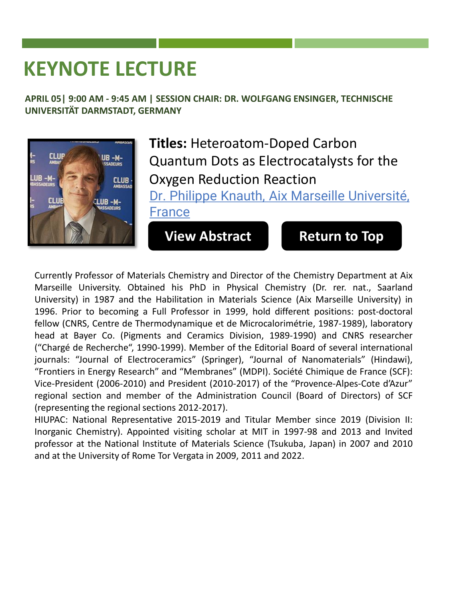# <span id="page-5-0"></span>**KEYNOTE LECTURE**

**APRIL 05| 9:00 AM - 9:45 AM | SESSION CHAIR: DR. WOLFGANG ENSINGER, TECHNISCHE UNIVERSITÄT DARMSTADT, GERMANY**



**Titles:** Heteroatom-Doped Carbon Quantum Dots as Electrocatalysts for the Oxygen Reduction Reaction Dr. Philippe Knauth, Aix Marseille Université, France

**[View Abstract](https://lisbon2022.rancongress.com/paper/Keynote-Dr.Knauth.pdf) [Return to Top](#page-0-0)**

Currently Professor of Materials Chemistry and Director of the Chemistry Department at Aix Marseille University. Obtained his PhD in Physical Chemistry (Dr. rer. nat., Saarland University) in 1987 and the Habilitation in Materials Science (Aix Marseille University) in 1996. Prior to becoming a Full Professor in 1999, hold different positions: post-doctoral fellow (CNRS, Centre de Thermodynamique et de Microcalorimétrie, 1987-1989), laboratory head at Bayer Co. (Pigments and Ceramics Division, 1989-1990) and CNRS researcher ("Chargé de Recherche", 1990-1999). Member of the Editorial Board of several international journals: "Journal of Electroceramics" (Springer), "Journal of Nanomaterials" (Hindawi), "Frontiers in Energy Research" and "Membranes" (MDPI). Société Chimique de France (SCF): Vice-President (2006-2010) and President (2010-2017) of the "Provence-Alpes-Cote d'Azur" regional section and member of the Administration Council (Board of Directors) of SCF (representing the regional sections 2012-2017).

HIUPAC: National Representative 2015-2019 and Titular Member since 2019 (Division II: Inorganic Chemistry). Appointed visiting scholar at MIT in 1997-98 and 2013 and Invited professor at the National Institute of Materials Science (Tsukuba, Japan) in 2007 and 2010 and at the University of Rome Tor Vergata in 2009, 2011 and 2022.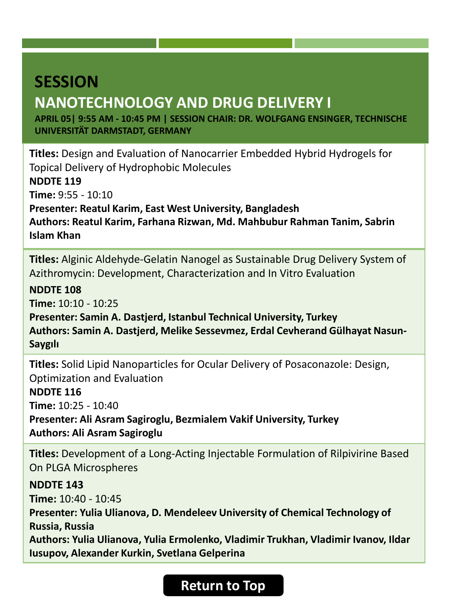# <span id="page-6-0"></span>**NANOTECHNOLOGY AND DRUG DELIVERY I**

**APRIL 05| 9:55 AM - 10:45 PM | SESSION CHAIR: DR. WOLFGANG ENSINGER, TECHNISCHE UNIVERSITÄT DARMSTADT, GERMANY**

**Titles:** Design and Evaluation of Nanocarrier Embedded Hybrid Hydrogels for Topical Delivery of Hydrophobic Molecules **NDDTE 119 Time:** 9:55 - 10:10 **Presenter: Reatul Karim, East West University, Bangladesh Authors: Reatul Karim, Farhana Rizwan, Md. Mahbubur Rahman Tanim, Sabrin Islam Khan**

**Titles:** Alginic Aldehyde-Gelatin Nanogel as Sustainable Drug Delivery System of Azithromycin: Development, Characterization and In Vitro Evaluation

**NDDTE 108**

**Time:** 10:10 - 10:25

**Presenter: Samin A. Dastjerd, Istanbul Technical University, Turkey Authors: Samin A. Dastjerd, Melike Sessevmez, Erdal Cevherand Gülhayat Nasun-Saygılı**

**Titles:** Solid Lipid Nanoparticles for Ocular Delivery of Posaconazole: Design, Optimization and Evaluation

**NDDTE 116**

**Time:** 10:25 - 10:40

**Presenter: Ali Asram Sagiroglu, Bezmialem Vakif University, Turkey Authors: Ali Asram Sagiroglu**

**Titles:** Development of a Long-Acting Injectable Formulation of Rilpivirine Based On PLGA Microspheres

**NDDTE 143**

**Time:** 10:40 - 10:45

**Presenter: Yulia Ulianova, D. Mendeleev University of Chemical Technology of Russia, Russia**

**Authors: Yulia Ulianova, Yulia Ermolenko, Vladimir Trukhan, Vladimir Ivanov, Ildar Iusupov, Alexander Kurkin, Svetlana Gelperina**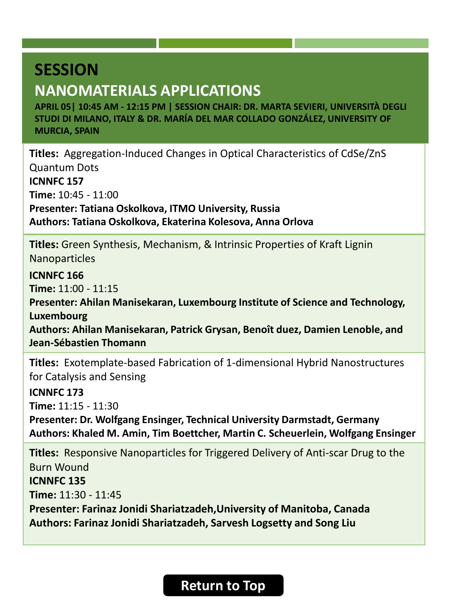### <span id="page-7-0"></span>**NANOMATERIALS APPLICATIONS**

**APRIL 05| 10:45 AM - 12:15 PM | SESSION CHAIR: DR. MARTA SEVIERI, UNIVERSITÀ DEGLI STUDI DI MILANO, ITALY & DR. MARÍA DEL MAR COLLADO GONZÁLEZ, UNIVERSITY OF MURCIA, SPAIN**

**Titles:** Aggregation-Induced Changes in Optical Characteristics of CdSe/ZnS Quantum Dots **ICNNFC 157 Time:** 10:45 - 11:00 **Presenter: Tatiana Oskolkova, ITMO University, Russia Authors: Tatiana Oskolkova, Ekaterina Kolesova, Anna Orlova**

**Titles:** Green Synthesis, Mechanism, & Intrinsic Properties of Kraft Lignin Nanoparticles

**ICNNFC 166**

**Time:** 11:00 - 11:15

**Presenter: Ahilan Manisekaran, Luxembourg Institute of Science and Technology, Luxembourg**

**Authors: Ahilan Manisekaran, Patrick Grysan, Benoît duez, Damien Lenoble, and Jean-Sébastien Thomann**

**Titles:** Exotemplate-based Fabrication of 1-dimensional Hybrid Nanostructures for Catalysis and Sensing

**ICNNFC 173**

**Time:** 11:15 - 11:30

**Presenter: Dr. Wolfgang Ensinger, Technical University Darmstadt, Germany Authors: Khaled M. Amin, Tim Boettcher, Martin C. Scheuerlein, Wolfgang Ensinger**

**Titles:** Responsive Nanoparticles for Triggered Delivery of Anti-scar Drug to the Burn Wound **ICNNFC 135 Time:** 11:30 - 11:45 **Presenter: Farinaz Jonidi Shariatzadeh,University of Manitoba, Canada Authors: Farinaz Jonidi Shariatzadeh, Sarvesh Logsetty and Song Liu**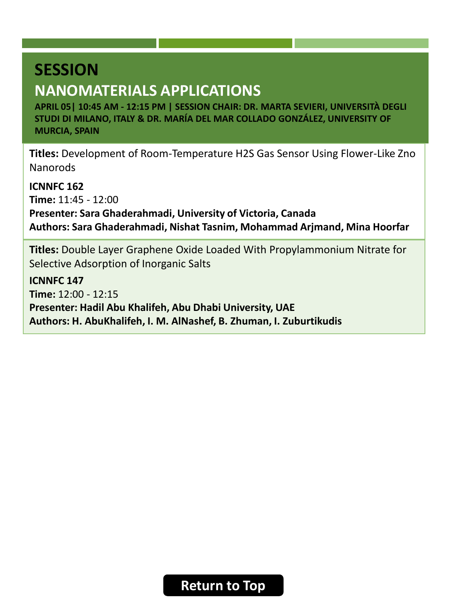### **NANOMATERIALS APPLICATIONS**

**APRIL 05| 10:45 AM - 12:15 PM | SESSION CHAIR: DR. MARTA SEVIERI, UNIVERSITÀ DEGLI STUDI DI MILANO, ITALY & DR. MARÍA DEL MAR COLLADO GONZÁLEZ, UNIVERSITY OF MURCIA, SPAIN**

**Titles:** Development of Room-Temperature H2S Gas Sensor Using Flower-Like Zno Nanorods

**ICNNFC 162 Time:** 11:45 - 12:00 **Presenter: Sara Ghaderahmadi, University of Victoria, Canada Authors: Sara Ghaderahmadi, Nishat Tasnim, Mohammad Arjmand, Mina Hoorfar**

**Titles:** Double Layer Graphene Oxide Loaded With Propylammonium Nitrate for Selective Adsorption of Inorganic Salts

**ICNNFC 147 Time:** 12:00 - 12:15 **Presenter: Hadil Abu Khalifeh, Abu Dhabi University, UAE Authors: H. AbuKhalifeh, I. M. AlNashef, B. Zhuman, I. Zuburtikudis**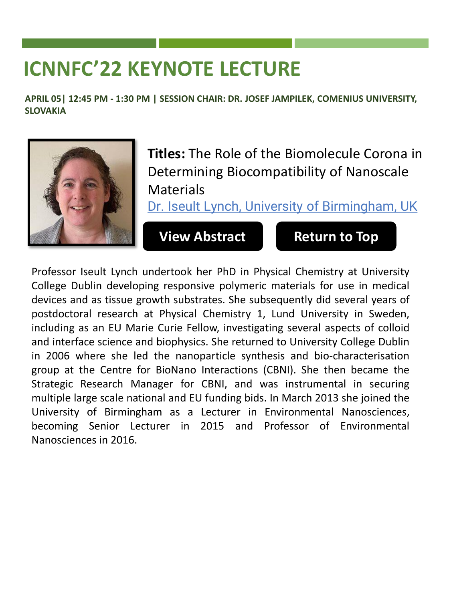# <span id="page-9-0"></span>**ICNNFC'22 KEYNOTE LECTURE**

**APRIL 05| 12:45 PM - 1:30 PM | SESSION CHAIR: DR. JOSEF JAMPILEK, COMENIUS UNIVERSITY, SLOVAKIA**



**Titles:** The Role of the Biomolecule Corona in Determining Biocompatibility of Nanoscale **Materials** 

Dr. Iseult Lynch, University of Birmingham, UK

**[View Abstract](https://lisbon2022.rancongress.com/paper/Keynote-Dr.Lynch.pdf) [Return to Top](#page-0-0)**

Professor Iseult Lynch undertook her PhD in Physical Chemistry at University College Dublin developing responsive polymeric materials for use in medical devices and as tissue growth substrates. She subsequently did several years of postdoctoral research at Physical Chemistry 1, Lund University in Sweden, including as an EU Marie Curie Fellow, investigating several aspects of colloid and interface science and biophysics. She returned to University College Dublin in 2006 where she led the nanoparticle synthesis and bio-characterisation group at the Centre for BioNano Interactions (CBNI). She then became the Strategic Research Manager for CBNI, and was instrumental in securing multiple large scale national and EU funding bids. In March 2013 she joined the University of Birmingham as a Lecturer in Environmental Nanosciences, becoming Senior Lecturer in 2015 and Professor of Environmental Nanosciences in 2016.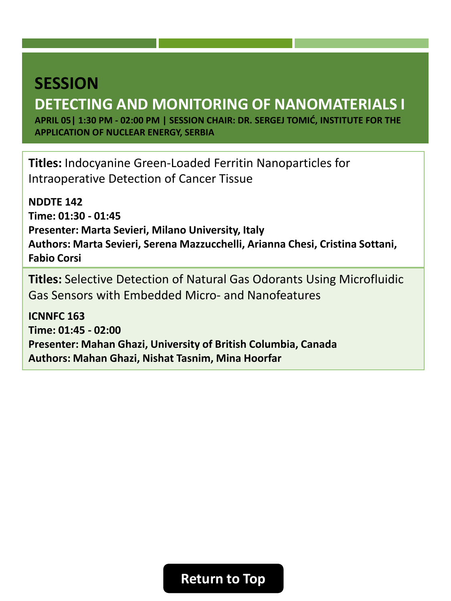# <span id="page-10-0"></span>**DETECTING AND MONITORING OF NANOMATERIALS I**

**APRIL 05| 1:30 PM - 02:00 PM | SESSION CHAIR: DR. SERGEJ TOMIĆ, INSTITUTE FOR THE APPLICATION OF NUCLEAR ENERGY, SERBIA**

**Titles:** Indocyanine Green-Loaded Ferritin Nanoparticles for Intraoperative Detection of Cancer Tissue

**NDDTE 142 Time: 01:30 - 01:45 Presenter: Marta Sevieri, Milano University, Italy Authors: Marta Sevieri, Serena Mazzucchelli, Arianna Chesi, Cristina Sottani, Fabio Corsi**

**Titles:** Selective Detection of Natural Gas Odorants Using Microfluidic Gas Sensors with Embedded Micro- and Nanofeatures

**ICNNFC 163 Time: 01:45 - 02:00 Presenter: Mahan Ghazi, University of British Columbia, Canada Authors: Mahan Ghazi, Nishat Tasnim, Mina Hoorfar**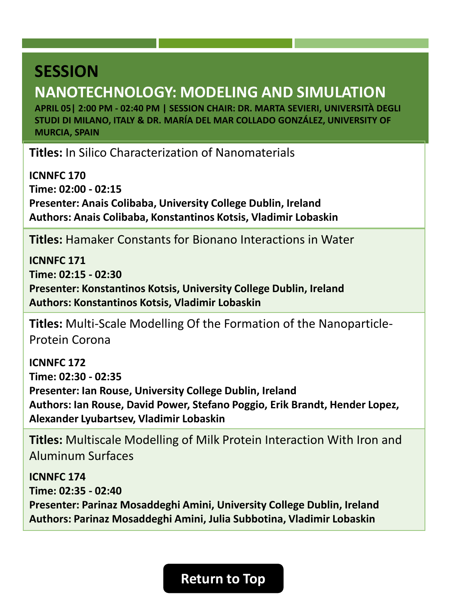# <span id="page-11-0"></span>**NANOTECHNOLOGY: MODELING AND SIMULATION**

**APRIL 05| 2:00 PM - 02:40 PM | SESSION CHAIR: DR. MARTA SEVIERI, UNIVERSITÀ DEGLI STUDI DI MILANO, ITALY & DR. MARÍA DEL MAR COLLADO GONZÁLEZ, UNIVERSITY OF MURCIA, SPAIN**

**Titles:** In Silico Characterization of Nanomaterials

**ICNNFC 170 Time: 02:00 - 02:15 Presenter: Anais Colibaba, University College Dublin, Ireland Authors: Anais Colibaba, Konstantinos Kotsis, Vladimir Lobaskin**

**Titles:** Hamaker Constants for Bionano Interactions in Water

**ICNNFC 171 Time: 02:15 - 02:30 Presenter: Konstantinos Kotsis, University College Dublin, Ireland Authors: Konstantinos Kotsis, Vladimir Lobaskin**

**Titles:** Multi-Scale Modelling Of the Formation of the Nanoparticle-Protein Corona

**ICNNFC 172 Time: 02:30 - 02:35 Presenter: Ian Rouse, University College Dublin, Ireland Authors: Ian Rouse, David Power, Stefano Poggio, Erik Brandt, Hender Lopez, Alexander Lyubartsev, Vladimir Lobaskin**

**Titles:** Multiscale Modelling of Milk Protein Interaction With Iron and Aluminum Surfaces

**ICNNFC 174 Time: 02:35 - 02:40 Presenter: Parinaz Mosaddeghi Amini, University College Dublin, Ireland Authors: Parinaz Mosaddeghi Amini, Julia Subbotina, Vladimir Lobaskin**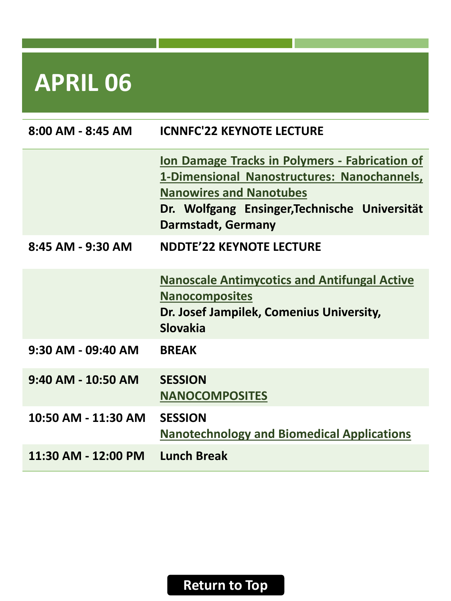<span id="page-12-0"></span>

| $8:00$ AM - $8:45$ AM | <b>ICNNFC'22 KEYNOTE LECTURE</b>                                                                                                                                                                                     |
|-----------------------|----------------------------------------------------------------------------------------------------------------------------------------------------------------------------------------------------------------------|
|                       | <b>Ion Damage Tracks in Polymers - Fabrication of</b><br>1-Dimensional Nanostructures: Nanochannels,<br><b>Nanowires and Nanotubes</b><br>Dr. Wolfgang Ensinger, Technische Universität<br><b>Darmstadt, Germany</b> |
| 8:45 AM - 9:30 AM     | <b>NDDTE'22 KEYNOTE LECTURE</b>                                                                                                                                                                                      |
|                       | <b>Nanoscale Antimycotics and Antifungal Active</b><br><b>Nanocomposites</b><br>Dr. Josef Jampilek, Comenius University,<br><b>Slovakia</b>                                                                          |
| 9:30 AM - 09:40 AM    | <b>BREAK</b>                                                                                                                                                                                                         |
| $9:40$ AM - 10:50 AM  | <b>SESSION</b><br><b>NANOCOMPOSITES</b>                                                                                                                                                                              |
| 10:50 AM - 11:30 AM   | <b>SESSION</b><br><b>Nanotechnology and Biomedical Applications</b>                                                                                                                                                  |
| 11:30 AM - 12:00 PM   | <b>Lunch Break</b>                                                                                                                                                                                                   |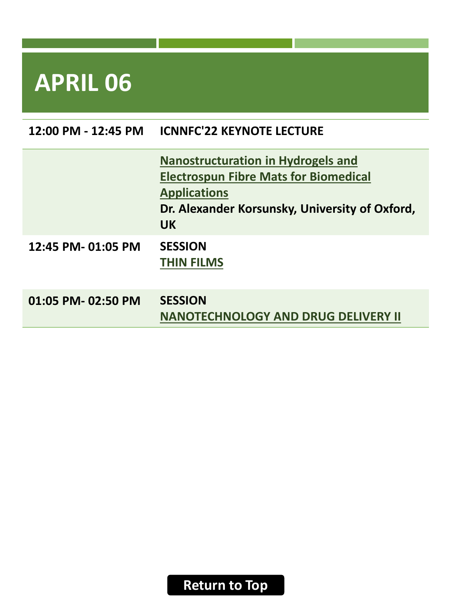| 12:00 PM - 12:45 PM | <b>ICNNFC'22 KEYNOTE LECTURE</b>                                                                                                                                                |
|---------------------|---------------------------------------------------------------------------------------------------------------------------------------------------------------------------------|
|                     | <b>Nanostructuration in Hydrogels and</b><br><b>Electrospun Fibre Mats for Biomedical</b><br><b>Applications</b><br>Dr. Alexander Korsunsky, University of Oxford,<br><b>UK</b> |
| 12:45 PM- 01:05 PM  | <b>SESSION</b><br><b>THIN FILMS</b>                                                                                                                                             |
| 01:05 PM-02:50 PM   | <b>SESSION</b><br><b>NANOTECHNOLOGY AND DRUG DELIVERY II</b>                                                                                                                    |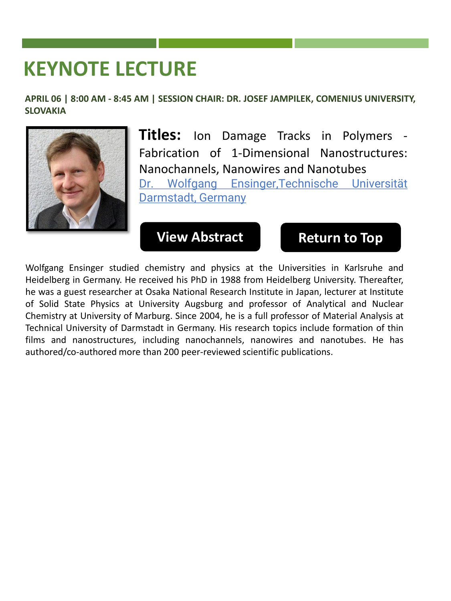# <span id="page-14-0"></span>**KEYNOTE LECTURE**

**APRIL 06 | 8:00 AM - 8:45 AM | SESSION CHAIR: DR. JOSEF JAMPILEK, COMENIUS UNIVERSITY, SLOVAKIA**



**Titles:** Ion Damage Tracks in Polymers - Fabrication of 1-Dimensional Nanostructures: Nanochannels, Nanowires and Nanotubes Dr. Wolfgang Ensinger,Technische Universität Darmstadt, Germany

#### **[View Abstract](https://lisbon2022.rancongress.com/paper/Keynote-Dr.Ensinger.pdf) [Return to Top](#page-0-0)**

Wolfgang Ensinger studied chemistry and physics at the Universities in Karlsruhe and Heidelberg in Germany. He received his PhD in 1988 from Heidelberg University. Thereafter, he was a guest researcher at Osaka National Research Institute in Japan, lecturer at Institute of Solid State Physics at University Augsburg and professor of Analytical and Nuclear Chemistry at University of Marburg. Since 2004, he is a full professor of Material Analysis at Technical University of Darmstadt in Germany. His research topics include formation of thin films and nanostructures, including nanochannels, nanowires and nanotubes. He has authored/co-authored more than 200 peer-reviewed scientific publications.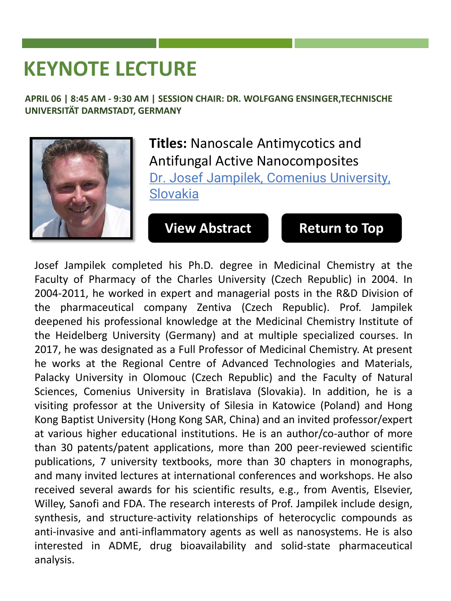# <span id="page-15-0"></span>**KEYNOTE LECTURE**

**APRIL 06 | 8:45 AM - 9:30 AM | SESSION CHAIR: DR. WOLFGANG ENSINGER,TECHNISCHE UNIVERSITÄT DARMSTADT, GERMANY**



**Titles:** Nanoscale Antimycotics and Antifungal Active Nanocomposites Dr. Josef Jampilek, Comenius University, Slovakia

### **[View Abstract](https://lisbon2022.rancongress.com/paper/Keynote-Dr.Jampilek.pdf) [Return to Top](#page-0-0)**

Josef Jampilek completed his Ph.D. degree in Medicinal Chemistry at the Faculty of Pharmacy of the Charles University (Czech Republic) in 2004. In 2004-2011, he worked in expert and managerial posts in the R&D Division of the pharmaceutical company Zentiva (Czech Republic). Prof. Jampilek deepened his professional knowledge at the Medicinal Chemistry Institute of the Heidelberg University (Germany) and at multiple specialized courses. In 2017, he was designated as a Full Professor of Medicinal Chemistry. At present he works at the Regional Centre of Advanced Technologies and Materials, Palacky University in Olomouc (Czech Republic) and the Faculty of Natural Sciences, Comenius University in Bratislava (Slovakia). In addition, he is a visiting professor at the University of Silesia in Katowice (Poland) and Hong Kong Baptist University (Hong Kong SAR, China) and an invited professor/expert at various higher educational institutions. He is an author/co-author of more than 30 patents/patent applications, more than 200 peer-reviewed scientific publications, 7 university textbooks, more than 30 chapters in monographs, and many invited lectures at international conferences and workshops. He also received several awards for his scientific results, e.g., from Aventis, Elsevier, Willey, Sanofi and FDA. The research interests of Prof. Jampilek include design, synthesis, and structure-activity relationships of heterocyclic compounds as anti-invasive and anti-inflammatory agents as well as nanosystems. He is also interested in ADME, drug bioavailability and solid-state pharmaceutical analysis.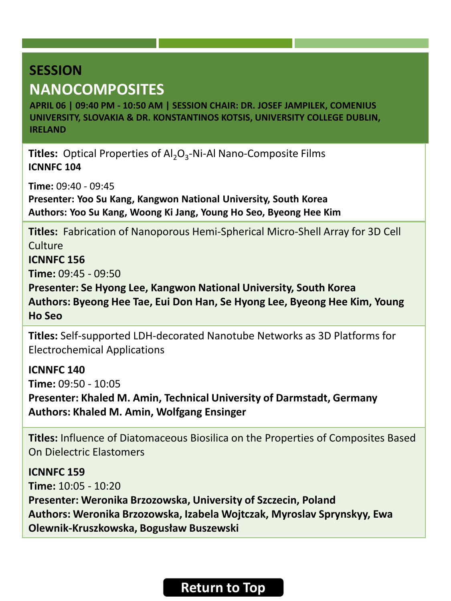### <span id="page-16-0"></span>**SESSION NANOCOMPOSITES**

**APRIL 06 | 09:40 PM - 10:50 AM | SESSION CHAIR: DR. JOSEF JAMPILEK, COMENIUS UNIVERSITY, SLOVAKIA & DR. KONSTANTINOS KOTSIS, UNIVERSITY COLLEGE DUBLIN, IRELAND**

**Titles:** Optical Properties of Al<sub>2</sub>O<sub>3</sub>-Ni-Al Nano-Composite Films **ICNNFC 104**

**Time:** 09:40 - 09:45

**Presenter: Yoo Su Kang, Kangwon National University, South Korea Authors: Yoo Su Kang, Woong Ki Jang, Young Ho Seo, Byeong Hee Kim**

**Titles:** Fabrication of Nanoporous Hemi-Spherical Micro-Shell Array for 3D Cell **Culture** 

**ICNNFC 156**

**Time:** 09:45 - 09:50

**Presenter: Se Hyong Lee, Kangwon National University, South Korea Authors: Byeong Hee Tae, Eui Don Han, Se Hyong Lee, Byeong Hee Kim, Young Ho Seo**

**Titles:** Self-supported LDH-decorated Nanotube Networks as 3D Platforms for Electrochemical Applications

**ICNNFC 140 Time:** 09:50 - 10:05

**Presenter: Khaled M. Amin, Technical University of Darmstadt, Germany Authors: Khaled M. Amin, Wolfgang Ensinger**

**Titles:** Influence of Diatomaceous Biosilica on the Properties of Composites Based On Dielectric Elastomers

**ICNNFC 159 Time:** 10:05 - 10:20 **Presenter: Weronika Brzozowska, University of Szczecin, Poland Authors: Weronika Brzozowska, Izabela Wojtczak, Myroslav Sprynskyy, Ewa Olewnik-Kruszkowska, Bogusław Buszewski**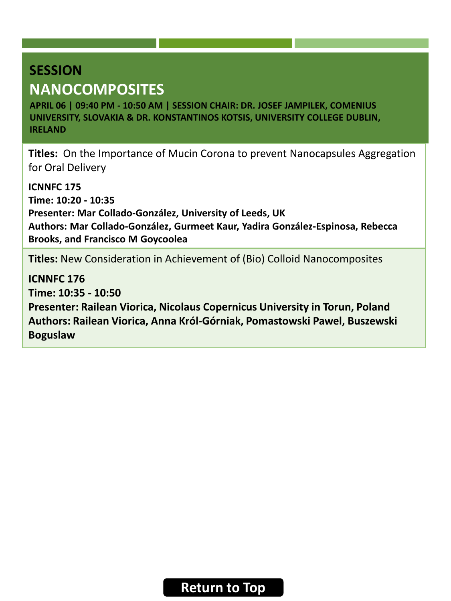### **SESSION NANOCOMPOSITES**

**APRIL 06 | 09:40 PM - 10:50 AM | SESSION CHAIR: DR. JOSEF JAMPILEK, COMENIUS UNIVERSITY, SLOVAKIA & DR. KONSTANTINOS KOTSIS, UNIVERSITY COLLEGE DUBLIN, IRELAND**

**Titles:** On the Importance of Mucin Corona to prevent Nanocapsules Aggregation for Oral Delivery

**ICNNFC 175 Time: 10:20 - 10:35 Presenter: Mar Collado-González, University of Leeds, UK Authors: Mar Collado-González, Gurmeet Kaur, Yadira González-Espinosa, Rebecca Brooks, and Francisco M Goycoolea**

**Titles:** New Consideration in Achievement of (Bio) Colloid Nanocomposites

**ICNNFC 176 Time: 10:35 - 10:50 Presenter: Railean Viorica, Nicolaus Copernicus University in Torun, Poland Authors: Railean Viorica, Anna Król-Górniak, Pomastowski Pawel, Buszewski Boguslaw**

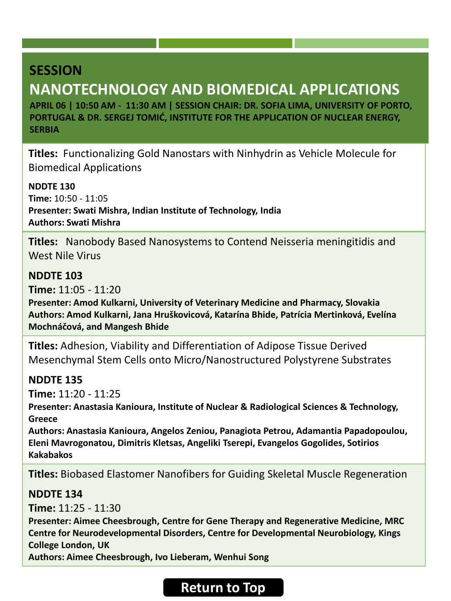# <span id="page-18-0"></span>**NANOTECHNOLOGY AND BIOMEDICAL APPLICATIONS**

**APRIL 06 | 10:50 AM - 11:30 AM | SESSION CHAIR: DR. SOFIA LIMA, UNIVERSITY OF PORTO, PORTUGAL & DR. SERGEJ TOMIĆ, INSTITUTE FOR THE APPLICATION OF NUCLEAR ENERGY, SERBIA**

**Titles:** Functionalizing Gold Nanostars with Ninhydrin as Vehicle Molecule for Biomedical Applications

**NDDTE 130 Time:** 10:50 - 11:05 **Presenter: Swati Mishra, Indian Institute of Technology, India Authors: Swati Mishra**

**Titles:** Nanobody Based Nanosystems to Contend Neisseria meningitidis and West Nile Virus

#### **NDDTE 103**

**Time:** 11:05 - 11:20

**Presenter: Amod Kulkarni, University of Veterinary Medicine and Pharmacy, Slovakia Authors: Amod Kulkarni, Jana Hruškovicová, Katarína Bhide, Patrícia Mertinková, Evelína Mochnáčová, and Mangesh Bhide**

**Titles:** Adhesion, Viability and Differentiation of Adipose Tissue Derived Mesenchymal Stem Cells onto Micro/Nanostructured Polystyrene Substrates

#### **NDDTE 135**

**Time:** 11:20 - 11:25

**Presenter: Anastasia Kanioura, Institute of Nuclear & Radiological Sciences & Technology, Greece**

**Authors: Anastasia Kanioura, Angelos Zeniou, Panagiota Petrou, Adamantia Papadopoulou, Eleni Mavrogonatou, Dimitris Kletsas, Angeliki Tserepi, Evangelos Gogolides, Sotirios Kakabakos**

**Titles:** Biobased Elastomer Nanofibers for Guiding Skeletal Muscle Regeneration

#### **NDDTE 134**

**Time:** 11:25 - 11:30

**Presenter: Aimee Cheesbrough, Centre for Gene Therapy and Regenerative Medicine, MRC Centre for Neurodevelopmental Disorders, Centre for Developmental Neurobiology, Kings College London, UK**

**Authors: Aimee Cheesbrough, Ivo Lieberam, Wenhui Song**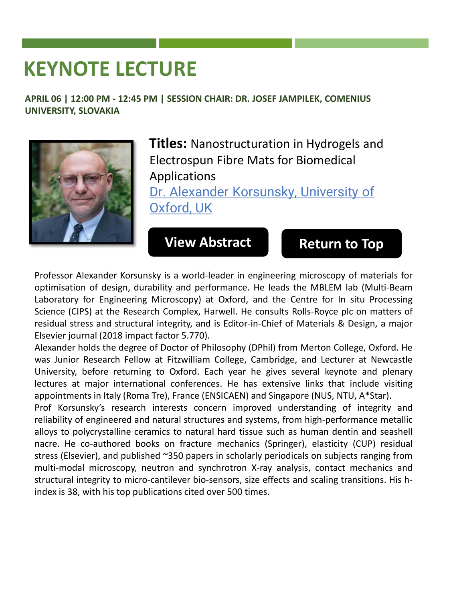# <span id="page-19-0"></span>**KEYNOTE LECTURE**

**APRIL 06 | 12:00 PM - 12:45 PM | SESSION CHAIR: DR. JOSEF JAMPILEK, COMENIUS UNIVERSITY, SLOVAKIA**



**Titles:** Nanostructuration in Hydrogels and Electrospun Fibre Mats for Biomedical Applications

Dr. Alexander Korsunsky, University of Oxford, UK

### **[View Abstract](https://lisbon2022.rancongress.com/paper/Keynote-Dr.Korsunsky.pdf) [Return to Top](#page-0-0)**

Professor Alexander Korsunsky is a world-leader in engineering microscopy of materials for optimisation of design, durability and performance. He leads the MBLEM lab (Multi-Beam Laboratory for Engineering Microscopy) at Oxford, and the Centre for In situ Processing Science (CIPS) at the Research Complex, Harwell. He consults Rolls-Royce plc on matters of residual stress and structural integrity, and is Editor-in-Chief of Materials & Design, a major Elsevier journal (2018 impact factor 5.770).

Alexander holds the degree of Doctor of Philosophy (DPhil) from Merton College, Oxford. He was Junior Research Fellow at Fitzwilliam College, Cambridge, and Lecturer at Newcastle University, before returning to Oxford. Each year he gives several keynote and plenary lectures at major international conferences. He has extensive links that include visiting appointments in Italy (Roma Tre), France (ENSICAEN) and Singapore (NUS, NTU, A\*Star).

Prof Korsunsky's research interests concern improved understanding of integrity and reliability of engineered and natural structures and systems, from high-performance metallic alloys to polycrystalline ceramics to natural hard tissue such as human dentin and seashell nacre. He co-authored books on fracture mechanics (Springer), elasticity (CUP) residual stress (Elsevier), and published ~350 papers in scholarly periodicals on subjects ranging from multi-modal microscopy, neutron and synchrotron X-ray analysis, contact mechanics and structural integrity to micro-cantilever bio-sensors, size effects and scaling transitions. His hindex is 38, with his top publications cited over 500 times.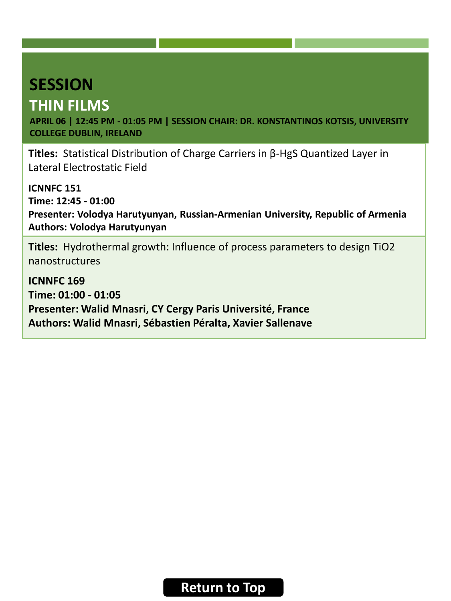# <span id="page-20-0"></span>**THIN FILMS**

**APRIL 06 | 12:45 PM - 01:05 PM | SESSION CHAIR: DR. KONSTANTINOS KOTSIS, UNIVERSITY COLLEGE DUBLIN, IRELAND**

**Titles:** Statistical Distribution of Charge Carriers in β-HgS Quantized Layer in Lateral Electrostatic Field

**ICNNFC 151 Time: 12:45 - 01:00 Presenter: Volodya Harutyunyan, Russian-Armenian University, Republic of Armenia Authors: Volodya Harutyunyan**

**Titles:** Hydrothermal growth: Influence of process parameters to design TiO2 nanostructures

**ICNNFC 169 Time: 01:00 - 01:05 Presenter: Walid Mnasri, CY Cergy Paris Université, France Authors: Walid Mnasri, Sébastien Péralta, Xavier Sallenave**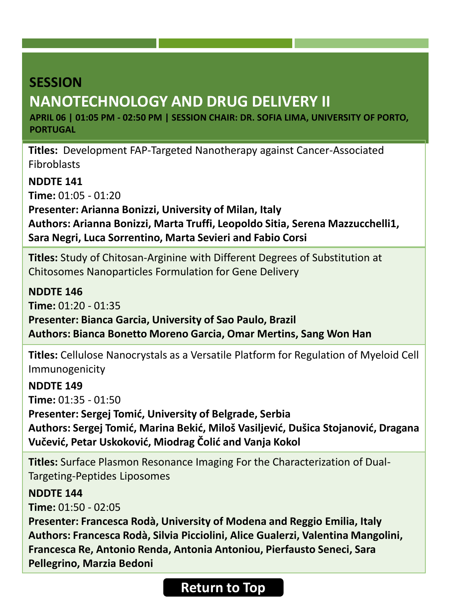# <span id="page-21-0"></span>**NANOTECHNOLOGY AND DRUG DELIVERY II**

**APRIL 06 | 01:05 PM - 02:50 PM | SESSION CHAIR: DR. SOFIA LIMA, UNIVERSITY OF PORTO, PORTUGAL**

**Titles:** Development FAP-Targeted Nanotherapy against Cancer-Associated Fibroblasts

**NDDTE 141**

**Time:** 01:05 - 01:20

**Presenter: Arianna Bonizzi, University of Milan, Italy Authors: Arianna Bonizzi, Marta Truffi, Leopoldo Sitia, Serena Mazzucchelli1, Sara Negri, Luca Sorrentino, Marta Sevieri and Fabio Corsi**

**Titles:** Study of Chitosan-Arginine with Different Degrees of Substitution at Chitosomes Nanoparticles Formulation for Gene Delivery

**NDDTE 146 Time:** 01:20 - 01:35

**Presenter: Bianca Garcia, University of Sao Paulo, Brazil Authors: Bianca Bonetto Moreno Garcia, Omar Mertins, Sang Won Han**

**Titles:** Cellulose Nanocrystals as a Versatile Platform for Regulation of Myeloid Cell Immunogenicity

**NDDTE 149**

**Time:** 01:35 - 01:50

**Presenter: Sergej Tomić, University of Belgrade, Serbia**

**Authors: Sergej Tomić, Marina Bekić, Miloš Vasiljević, Dušica Stojanović, Dragana Vučević, Petar Uskoković, Miodrag Čolić and Vanja Kokol**

**Titles:** Surface Plasmon Resonance Imaging For the Characterization of Dual-Targeting-Peptides Liposomes

**NDDTE 144 Time:** 01:50 - 02:05

**Presenter: Francesca Rodà, University of Modena and Reggio Emilia, Italy Authors: Francesca Rodà, Silvia Picciolini, Alice Gualerzi, Valentina Mangolini, Francesca Re, Antonio Renda, Antonia Antoniou, Pierfausto Seneci, Sara Pellegrino, Marzia Bedoni**